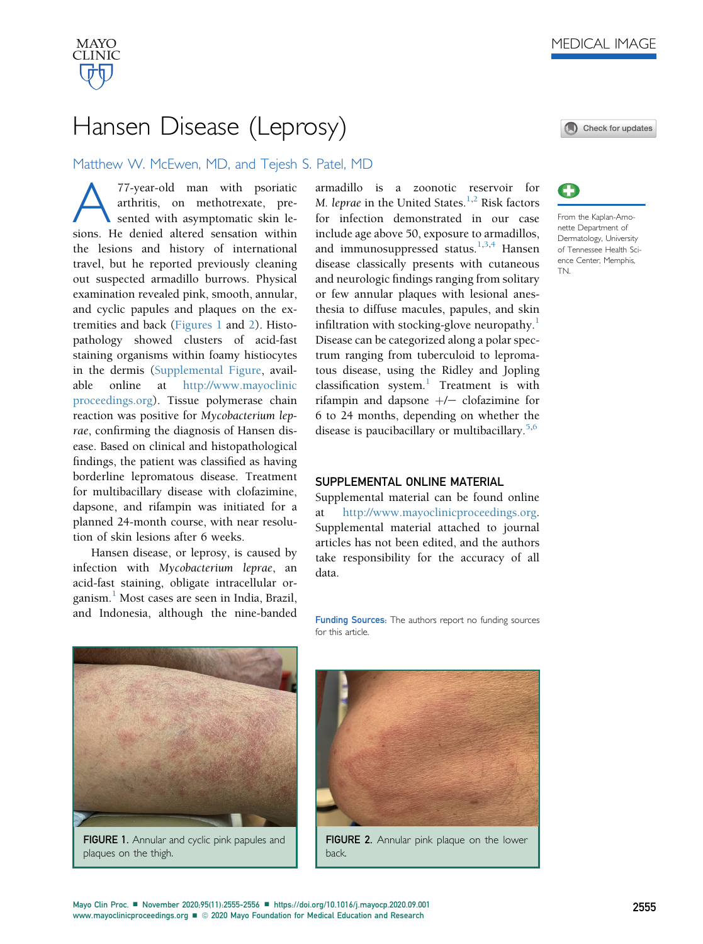

## Hansen Disease (Leprosy)

## Matthew W. McEwen, MD, and Tejesh S. Patel, MD

A77-year-old man with psoriatic arthritis, on methotrexate, presented with asymptomatic skin lesions. He denied altered sensation within the lesions and history of international travel, but he reported previously cleaning out suspected armadillo burrows. Physical examination revealed pink, smooth, annular, and cyclic papules and plaques on the extremities and back [\(Figures 1](#page-0-0) and [2\)](#page-0-1). Histopathology showed clusters of acid-fast staining organisms within foamy histiocytes in the dermis (Supplemental Figure, available online at [http://www.mayoclinic](http://www.mayoclinicproceedings.org) [proceedings.org](http://www.mayoclinicproceedings.org)). Tissue polymerase chain reaction was positive for Mycobacterium leprae, confirming the diagnosis of Hansen disease. Based on clinical and histopathological findings, the patient was classified as having borderline lepromatous disease. Treatment for multibacillary disease with clofazimine, dapsone, and rifampin was initiated for a planned 24-month course, with near resolution of skin lesions after 6 weeks.

Hansen disease, or leprosy, is caused by infection with Mycobacterium leprae, an acid-fast staining, obligate intracellular organism.[1](#page-1-0) Most cases are seen in India, Brazil, and Indonesia, although the nine-banded armadillo is a zoonotic reservoir for M. leprae in the United States.<sup>[1,](#page-1-0)[2](#page-1-1)</sup> Risk factors for infection demonstrated in our case include age above 50, exposure to armadillos, and immunosuppressed status.<sup>[1,](#page-1-0)[3,](#page-1-2)[4](#page-1-3)</sup> Hansen disease classically presents with cutaneous and neurologic findings ranging from solitary or few annular plaques with lesional anesthesia to diffuse macules, papules, and skin infiltration with stocking-glove neuropathy. $\frac{1}{1}$  $\frac{1}{1}$  $\frac{1}{1}$ Disease can be categorized along a polar spectrum ranging from tuberculoid to lepromatous disease, using the Ridley and Jopling classification system.<sup>[1](#page-1-0)</sup> Treatment is with rifampin and dapsone  $+/-$  clofazimine for 6 to 24 months, depending on whether the disease is paucibacillary or multibacillary.<sup>[5,](#page-1-4)[6](#page-1-5)</sup>

## SUPPLEMENTAL ONLINE MATERIAL

Supplemental material can be found online [http://www.mayoclinicproceedings.org.](http://www.mayoclinicproceedings.org) Supplemental material attached to journal articles has not been edited, and the authors take responsibility for the accuracy of all data.

Funding Sources: The authors report no funding sources for this article.

<span id="page-0-0"></span>

FIGURE 1. Annular and cyclic pink papules and plaques on the thigh.

<span id="page-0-1"></span>

FIGURE 2. Annular pink plaque on the lower back.





From the Kaplan-Amonette Department of Dermatology, University of Tennessee Health Science Center, Memphis, TN.